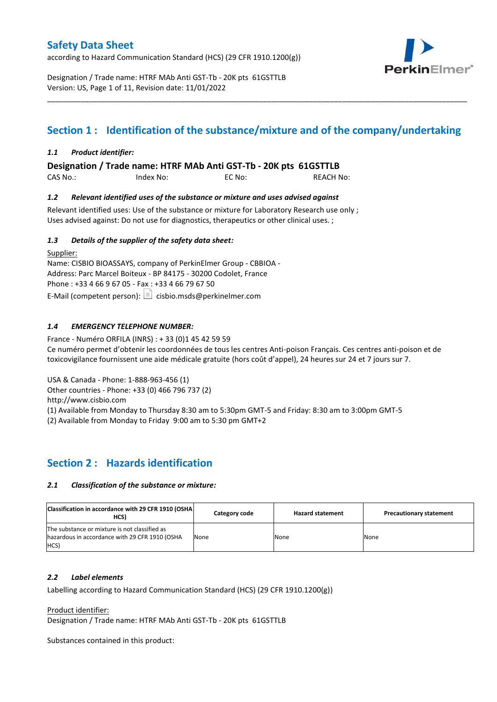according to Hazard Communication Standard (HCS) (29 CFR 1910.1200(g))



Designation / Trade name: HTRF MAb Anti GST-Tb - 20K pts 61GSTTLB Version: US, Page 1 of 11, Revision date: 11/01/2022

# **Section 1 : Identification of the substance/mixture and of the company/undertaking**

\_\_\_\_\_\_\_\_\_\_\_\_\_\_\_\_\_\_\_\_\_\_\_\_\_\_\_\_\_\_\_\_\_\_\_\_\_\_\_\_\_\_\_\_\_\_\_\_\_\_\_\_\_\_\_\_\_\_\_\_\_\_\_\_\_\_\_\_\_\_\_\_\_\_\_\_\_\_\_\_\_\_\_\_\_\_\_\_\_\_\_\_\_\_\_\_\_\_\_\_\_

### *1.1 Product identifier:*

**Designation / Trade name: HTRF MAb Anti GST-Tb - 20K pts 61GSTTLB** 

| CAS No.: | Index No: | EC No: | <b>REACH No:</b> |
|----------|-----------|--------|------------------|
|          |           |        |                  |

### *1.2 Relevant identified uses of the substance or mixture and uses advised against*

Relevant identified uses: Use of the substance or mixture for Laboratory Research use only ; Uses advised against: Do not use for diagnostics, therapeutics or other clinical uses. ;

#### *1.3 Details of the supplier of the safety data sheet:*

Supplier: Name: CISBIO BIOASSAYS, company of PerkinElmer Group - CBBIOA - Address: Parc Marcel Boiteux - BP 84175 - 30200 Codolet, France Phone : +33 4 66 9 67 05 - Fax : +33 4 66 79 67 50 E-Mail (competent person):  $\boxed{\equiv}$  cisbio.msds@perkinelmer.com

### *1.4 EMERGENCY TELEPHONE NUMBER:*

France - Numéro ORFILA (INRS) : + 33 (0)1 45 42 59 59 Ce numéro permet d'obtenir les coordonnées de tous les centres Anti-poison Français. Ces centres anti-poison et de toxicovigilance fournissent une aide médicale gratuite (hors coût d'appel), 24 heures sur 24 et 7 jours sur 7.

USA & Canada - Phone: 1-888-963-456 (1)

Other countries - Phone: +33 (0) 466 796 737 (2)

http://www.cisbio.com

(1) Available from Monday to Thursday 8:30 am to 5:30pm GMT-5 and Friday: 8:30 am to 3:00pm GMT-5

(2) Available from Monday to Friday 9:00 am to 5:30 pm GMT+2

### **Section 2 : Hazards identification**

#### *2.1 Classification of the substance or mixture:*

| Classification in accordance with 29 CFR 1910 (OSHA)<br>HCS)                                            | Category code | <b>Hazard statement</b> | <b>Precautionary statement</b> |
|---------------------------------------------------------------------------------------------------------|---------------|-------------------------|--------------------------------|
| The substance or mixture is not classified as<br>hazardous in accordance with 29 CFR 1910 (OSHA<br>HCS) | None          | None                    | None                           |

#### *2.2 Label elements*

Labelling according to Hazard Communication Standard (HCS) (29 CFR 1910.1200(g))

Product identifier:

Designation / Trade name: HTRF MAb Anti GST-Tb - 20K pts 61GSTTLB

Substances contained in this product: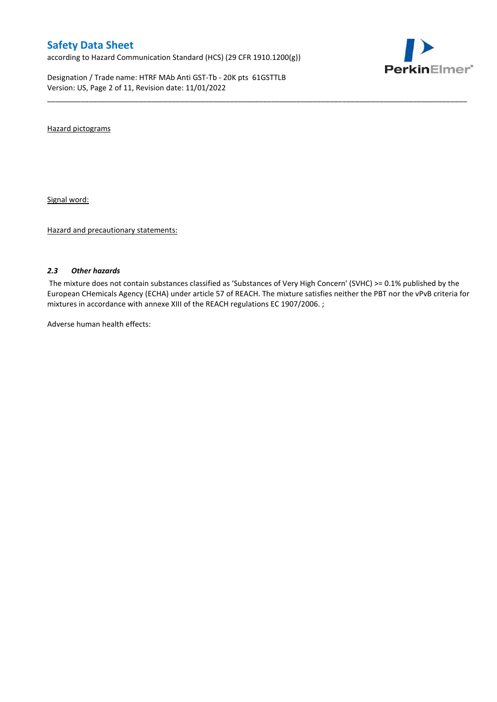according to Hazard Communication Standard (HCS) (29 CFR 1910.1200(g))

Designation / Trade name: HTRF MAb Anti GST-Tb - 20K pts 61GSTTLB Version: US, Page 2 of 11, Revision date: 11/01/2022



Hazard pictograms

Signal word:

Hazard and precautionary statements:

#### *2.3 Other hazards*

The mixture does not contain substances classified as 'Substances of Very High Concern' (SVHC) >= 0.1% published by the European CHemicals Agency (ECHA) under article 57 of REACH. The mixture satisfies neither the PBT nor the vPvB criteria for mixtures in accordance with annexe XIII of the REACH regulations EC 1907/2006. ;

\_\_\_\_\_\_\_\_\_\_\_\_\_\_\_\_\_\_\_\_\_\_\_\_\_\_\_\_\_\_\_\_\_\_\_\_\_\_\_\_\_\_\_\_\_\_\_\_\_\_\_\_\_\_\_\_\_\_\_\_\_\_\_\_\_\_\_\_\_\_\_\_\_\_\_\_\_\_\_\_\_\_\_\_\_\_\_\_\_\_\_\_\_\_\_\_\_\_\_\_\_

Adverse human health effects: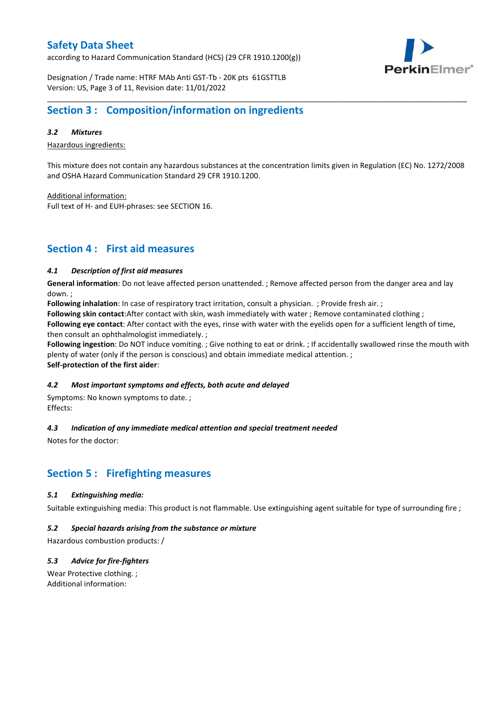according to Hazard Communication Standard (HCS) (29 CFR 1910.1200(g))



Designation / Trade name: HTRF MAb Anti GST-Tb - 20K pts 61GSTTLB Version: US, Page 3 of 11, Revision date: 11/01/2022

### **Section 3 : Composition/information on ingredients**

#### *3.2 Mixtures*

Hazardous ingredients:

This mixture does not contain any hazardous substances at the concentration limits given in Regulation (EC) No. 1272/2008 and OSHA Hazard Communication Standard 29 CFR 1910.1200.

\_\_\_\_\_\_\_\_\_\_\_\_\_\_\_\_\_\_\_\_\_\_\_\_\_\_\_\_\_\_\_\_\_\_\_\_\_\_\_\_\_\_\_\_\_\_\_\_\_\_\_\_\_\_\_\_\_\_\_\_\_\_\_\_\_\_\_\_\_\_\_\_\_\_\_\_\_\_\_\_\_\_\_\_\_\_\_\_\_\_\_\_\_\_\_\_\_\_\_\_\_

Additional information:

Full text of H- and EUH-phrases: see SECTION 16.

### **Section 4 : First aid measures**

#### *4.1 Description of first aid measures*

**General information**: Do not leave affected person unattended. ; Remove affected person from the danger area and lay down. ;

**Following inhalation**: In case of respiratory tract irritation, consult a physician. ; Provide fresh air. ;

**Following skin contact**:After contact with skin, wash immediately with water ; Remove contaminated clothing ;

**Following eye contact**: After contact with the eyes, rinse with water with the eyelids open for a sufficient length of time, then consult an ophthalmologist immediately. ;

**Following ingestion**: Do NOT induce vomiting. ; Give nothing to eat or drink. ; If accidentally swallowed rinse the mouth with plenty of water (only if the person is conscious) and obtain immediate medical attention. ; **Self-protection of the first aider**:

#### *4.2 Most important symptoms and effects, both acute and delayed*

Symptoms: No known symptoms to date. ; Effects:

### *4.3 Indication of any immediate medical attention and special treatment needed*

Notes for the doctor:

# **Section 5 : Firefighting measures**

#### *5.1 Extinguishing media:*

Suitable extinguishing media: This product is not flammable. Use extinguishing agent suitable for type of surrounding fire ;

#### *5.2 Special hazards arising from the substance or mixture*

Hazardous combustion products: /

### *5.3 Advice for fire-fighters*

Wear Protective clothing. ; Additional information: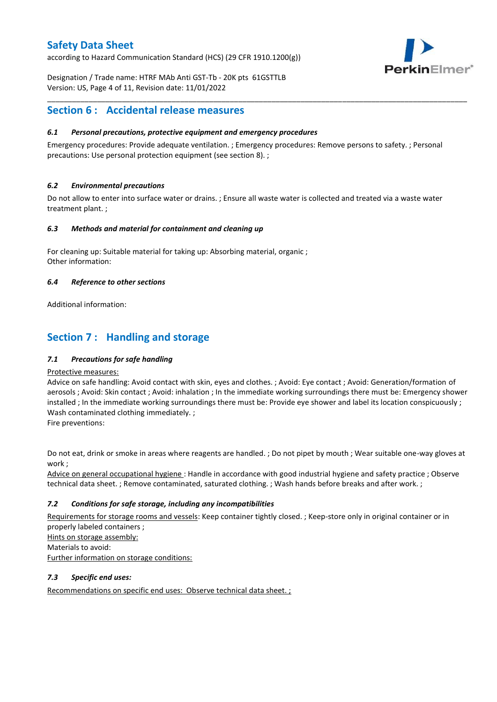according to Hazard Communication Standard (HCS) (29 CFR 1910.1200(g))



Designation / Trade name: HTRF MAb Anti GST-Tb - 20K pts 61GSTTLB Version: US, Page 4 of 11, Revision date: 11/01/2022

### **Section 6 : Accidental release measures**

### *6.1 Personal precautions, protective equipment and emergency procedures*

Emergency procedures: Provide adequate ventilation. ; Emergency procedures: Remove persons to safety. ; Personal precautions: Use personal protection equipment (see section 8). ;

\_\_\_\_\_\_\_\_\_\_\_\_\_\_\_\_\_\_\_\_\_\_\_\_\_\_\_\_\_\_\_\_\_\_\_\_\_\_\_\_\_\_\_\_\_\_\_\_\_\_\_\_\_\_\_\_\_\_\_\_\_\_\_\_\_\_\_\_\_\_\_\_\_\_\_\_\_\_\_\_\_\_\_\_\_\_\_\_\_\_\_\_\_\_\_\_\_\_\_\_\_

#### *6.2 Environmental precautions*

Do not allow to enter into surface water or drains. ; Ensure all waste water is collected and treated via a waste water treatment plant. ;

#### *6.3 Methods and material for containment and cleaning up*

For cleaning up: Suitable material for taking up: Absorbing material, organic ; Other information:

#### *6.4 Reference to other sections*

Additional information:

# **Section 7 : Handling and storage**

### *7.1 Precautions for safe handling*

#### Protective measures:

Advice on safe handling: Avoid contact with skin, eyes and clothes. ; Avoid: Eye contact ; Avoid: Generation/formation of aerosols ; Avoid: Skin contact ; Avoid: inhalation ; In the immediate working surroundings there must be: Emergency shower installed ; In the immediate working surroundings there must be: Provide eye shower and label its location conspicuously; Wash contaminated clothing immediately. ;

Fire preventions:

Do not eat, drink or smoke in areas where reagents are handled. ; Do not pipet by mouth ; Wear suitable one-way gloves at work ;

Advice on general occupational hygiene : Handle in accordance with good industrial hygiene and safety practice ; Observe technical data sheet. ; Remove contaminated, saturated clothing. ; Wash hands before breaks and after work. ;

### *7.2 Conditions for safe storage, including any incompatibilities*

Requirements for storage rooms and vessels: Keep container tightly closed. ; Keep-store only in original container or in properly labeled containers ; Hints on storage assembly: Materials to avoid:

Further information on storage conditions:

### *7.3 Specific end uses:*

Recommendations on specific end uses: Observe technical data sheet. ;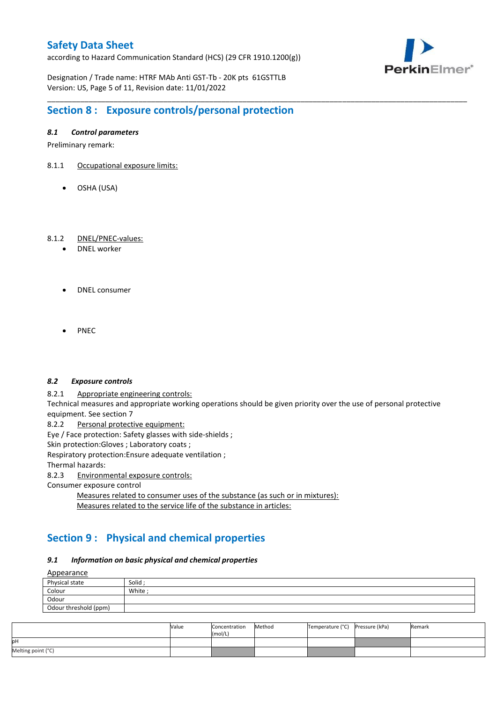according to Hazard Communication Standard (HCS) (29 CFR 1910.1200(g))



Designation / Trade name: HTRF MAb Anti GST-Tb - 20K pts 61GSTTLB Version: US, Page 5 of 11, Revision date: 11/01/2022

# **Section 8 : Exposure controls/personal protection**

#### *8.1 Control parameters*

Preliminary remark:

- 8.1.1 Occupational exposure limits:
	- OSHA (USA)

#### 8.1.2 DNEL/PNEC-values:

- DNEL worker
- DNEL consumer
- PNEC

#### *8.2 Exposure controls*

8.2.1 Appropriate engineering controls:

Technical measures and appropriate working operations should be given priority over the use of personal protective equipment. See section 7

\_\_\_\_\_\_\_\_\_\_\_\_\_\_\_\_\_\_\_\_\_\_\_\_\_\_\_\_\_\_\_\_\_\_\_\_\_\_\_\_\_\_\_\_\_\_\_\_\_\_\_\_\_\_\_\_\_\_\_\_\_\_\_\_\_\_\_\_\_\_\_\_\_\_\_\_\_\_\_\_\_\_\_\_\_\_\_\_\_\_\_\_\_\_\_\_\_\_\_\_\_

8.2.2 Personal protective equipment:

Eye / Face protection: Safety glasses with side-shields ;

Skin protection: Gloves ; Laboratory coats ;

Respiratory protection:Ensure adequate ventilation ;

Thermal hazards:

8.2.3 Environmental exposure controls:

Consumer exposure control

Measures related to consumer uses of the substance (as such or in mixtures): Measures related to the service life of the substance in articles:

# **Section 9 : Physical and chemical properties**

#### *9.1 Information on basic physical and chemical properties*

**A**ppearance

| <u>rippediance</u>    |         |
|-----------------------|---------|
| Physical state        | Solid ; |
| Colour                | White;  |
| Odour                 |         |
| Odour threshold (ppm) |         |

|                    | Value | Concentration<br>(mol/L) | Method | Temperature (°C) Pressure (kPa) | Remark |
|--------------------|-------|--------------------------|--------|---------------------------------|--------|
| pН                 |       |                          |        |                                 |        |
| Melting point (°C) |       |                          |        |                                 |        |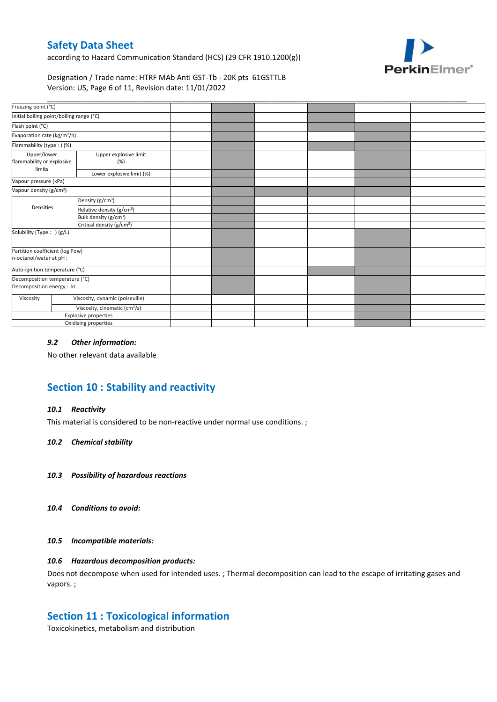according to Hazard Communication Standard (HCS) (29 CFR 1910.1200(g))



Designation / Trade name: HTRF MAb Anti GST-Tb - 20K pts 61GSTTLB Version: US, Page 6 of 11, Revision date: 11/01/2022

| Freezing point (°C)                                         |                              |                                                                                                                                                                                                                                            |  |  |  |
|-------------------------------------------------------------|------------------------------|--------------------------------------------------------------------------------------------------------------------------------------------------------------------------------------------------------------------------------------------|--|--|--|
| Initial boiling point/boiling range (°C)                    |                              |                                                                                                                                                                                                                                            |  |  |  |
|                                                             |                              |                                                                                                                                                                                                                                            |  |  |  |
| Evaporation rate (kg/m <sup>2</sup> /h)                     |                              |                                                                                                                                                                                                                                            |  |  |  |
| Flammability (type: ) (%)                                   |                              |                                                                                                                                                                                                                                            |  |  |  |
| Upper/lower<br>flammability or explosive                    | Upper explosive limit<br>(%) |                                                                                                                                                                                                                                            |  |  |  |
|                                                             | Lower explosive limit (%)    |                                                                                                                                                                                                                                            |  |  |  |
| Vapour pressure (kPa)                                       |                              |                                                                                                                                                                                                                                            |  |  |  |
| Vapour density (g/cm <sup>3</sup> )                         |                              |                                                                                                                                                                                                                                            |  |  |  |
|                                                             |                              |                                                                                                                                                                                                                                            |  |  |  |
| Densities                                                   |                              |                                                                                                                                                                                                                                            |  |  |  |
|                                                             |                              |                                                                                                                                                                                                                                            |  |  |  |
| Critical density (g/cm <sup>3</sup> )                       |                              |                                                                                                                                                                                                                                            |  |  |  |
| Solubility (Type: ) (g/L)                                   |                              |                                                                                                                                                                                                                                            |  |  |  |
| Partition coefficient (log Pow)<br>n-octanol/water at pH :  |                              |                                                                                                                                                                                                                                            |  |  |  |
| Auto-ignition temperature (°C)                              |                              |                                                                                                                                                                                                                                            |  |  |  |
| Decomposition temperature (°C)<br>Decomposition energy : kJ |                              |                                                                                                                                                                                                                                            |  |  |  |
|                                                             |                              |                                                                                                                                                                                                                                            |  |  |  |
|                                                             |                              |                                                                                                                                                                                                                                            |  |  |  |
|                                                             |                              |                                                                                                                                                                                                                                            |  |  |  |
|                                                             |                              |                                                                                                                                                                                                                                            |  |  |  |
|                                                             |                              | Density (g/cm <sup>3</sup> )<br>Relative density (g/cm <sup>3</sup> )<br>Bulk density (g/cm <sup>3</sup> )<br>Viscosity, dynamic (poiseuille)<br>Viscosity, cinematic (cm <sup>3</sup> /s)<br>Explosive properties<br>Oxidising properties |  |  |  |

#### *9.2 Other information:*

No other relevant data available

# **Section 10 : Stability and reactivity**

#### *10.1 Reactivity*

This material is considered to be non-reactive under normal use conditions. ;

#### *10.2 Chemical stability*

- *10.3 Possibility of hazardous reactions*
- *10.4 Conditions to avoid:*

#### *10.5 Incompatible materials:*

#### *10.6 Hazardous decomposition products:*

Does not decompose when used for intended uses. ; Thermal decomposition can lead to the escape of irritating gases and vapors. ;

### **Section 11 : Toxicological information**

Toxicokinetics, metabolism and distribution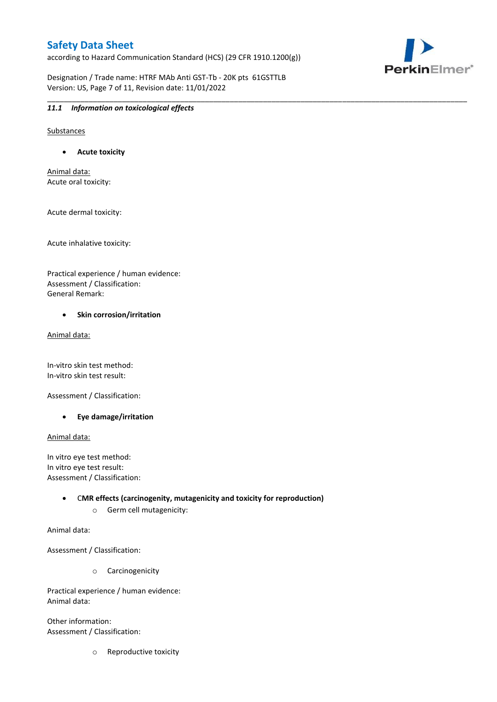according to Hazard Communication Standard (HCS) (29 CFR 1910.1200(g))

\_\_\_\_\_\_\_\_\_\_\_\_\_\_\_\_\_\_\_\_\_\_\_\_\_\_\_\_\_\_\_\_\_\_\_\_\_\_\_\_\_\_\_\_\_\_\_\_\_\_\_\_\_\_\_\_\_\_\_\_\_\_\_\_\_\_\_\_\_\_\_\_\_\_\_\_\_\_\_\_\_\_\_\_\_\_\_\_\_\_\_\_\_\_\_\_\_\_\_\_\_



Designation / Trade name: HTRF MAb Anti GST-Tb - 20K pts 61GSTTLB Version: US, Page 7 of 11, Revision date: 11/01/2022

#### *11.1 Information on toxicological effects*

Substances

**Acute toxicity**

Animal data: Acute oral toxicity:

Acute dermal toxicity:

Acute inhalative toxicity:

Practical experience / human evidence: Assessment / Classification: General Remark:

#### **•** Skin corrosion/irritation

Animal data:

In-vitro skin test method: In-vitro skin test result:

Assessment / Classification:

**Eye damage/irritation**

Animal data:

In vitro eye test method: In vitro eye test result: Assessment / Classification:

> C**MR effects (carcinogenity, mutagenicity and toxicity for reproduction)** o Germ cell mutagenicity:

Animal data:

Assessment / Classification:

o Carcinogenicity

Practical experience / human evidence: Animal data:

Other information: Assessment / Classification:

o Reproductive toxicity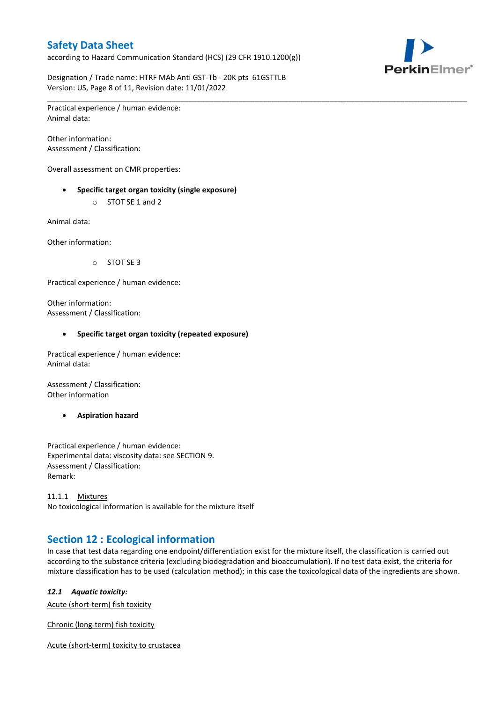according to Hazard Communication Standard (HCS) (29 CFR 1910.1200(g))



Designation / Trade name: HTRF MAb Anti GST-Tb - 20K pts 61GSTTLB Version: US, Page 8 of 11, Revision date: 11/01/2022

\_\_\_\_\_\_\_\_\_\_\_\_\_\_\_\_\_\_\_\_\_\_\_\_\_\_\_\_\_\_\_\_\_\_\_\_\_\_\_\_\_\_\_\_\_\_\_\_\_\_\_\_\_\_\_\_\_\_\_\_\_\_\_\_\_\_\_\_\_\_\_\_\_\_\_\_\_\_\_\_\_\_\_\_\_\_\_\_\_\_\_\_\_\_\_\_\_\_\_\_\_ Practical experience / human evidence: Animal data:

Other information: Assessment / Classification:

Overall assessment on CMR properties:

- **Specific target organ toxicity (single exposure)**
	- o STOT SE 1 and 2

Animal data:

Other information:

o STOT SE 3

Practical experience / human evidence:

Other information: Assessment / Classification:

#### **Specific target organ toxicity (repeated exposure)**

Practical experience / human evidence: Animal data:

Assessment / Classification: Other information

**Aspiration hazard**

Practical experience / human evidence: Experimental data: viscosity data: see SECTION 9. Assessment / Classification: Remark:

11.1.1 Mixtures No toxicological information is available for the mixture itself

# **Section 12 : Ecological information**

In case that test data regarding one endpoint/differentiation exist for the mixture itself, the classification is carried out according to the substance criteria (excluding biodegradation and bioaccumulation). If no test data exist, the criteria for mixture classification has to be used (calculation method); in this case the toxicological data of the ingredients are shown.

#### *12.1 Aquatic toxicity:*

Acute (short-term) fish toxicity

Chronic (long-term) fish toxicity

Acute (short-term) toxicity to crustacea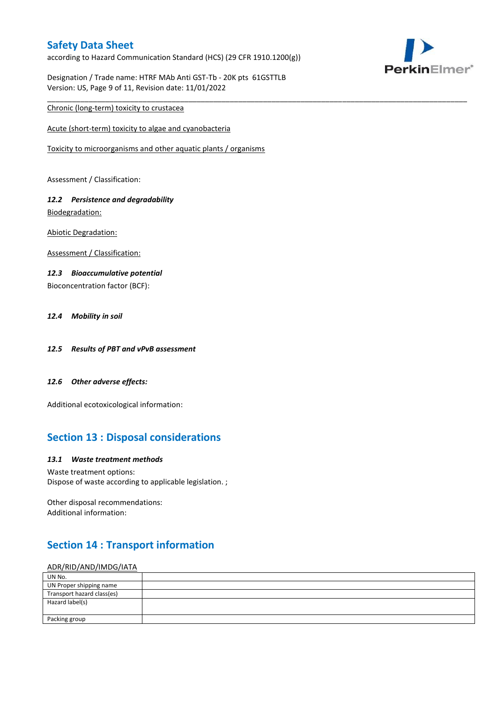according to Hazard Communication Standard (HCS) (29 CFR 1910.1200(g))

\_\_\_\_\_\_\_\_\_\_\_\_\_\_\_\_\_\_\_\_\_\_\_\_\_\_\_\_\_\_\_\_\_\_\_\_\_\_\_\_\_\_\_\_\_\_\_\_\_\_\_\_\_\_\_\_\_\_\_\_\_\_\_\_\_\_\_\_\_\_\_\_\_\_\_\_\_\_\_\_\_\_\_\_\_\_\_\_\_\_\_\_\_\_\_\_\_\_\_\_\_



Designation / Trade name: HTRF MAb Anti GST-Tb - 20K pts 61GSTTLB Version: US, Page 9 of 11, Revision date: 11/01/2022

### Chronic (long-term) toxicity to crustacea

Acute (short-term) toxicity to algae and cyanobacteria

Toxicity to microorganisms and other aquatic plants / organisms

Assessment / Classification:

### *12.2 Persistence and degradability* Biodegradation:

Abiotic Degradation:

Assessment / Classification:

#### *12.3 Bioaccumulative potential*

Bioconcentration factor (BCF):

### *12.4 Mobility in soil*

- *12.5 Results of PBT and vPvB assessment*
- *12.6 Other adverse effects:*

Additional ecotoxicological information:

# **Section 13 : Disposal considerations**

#### *13.1 Waste treatment methods*

Waste treatment options: Dispose of waste according to applicable legislation. ;

Other disposal recommendations: Additional information:

# **Section 14 : Transport information**

#### ADR/RID/AND/IMDG/IATA

| UN No.                     |  |
|----------------------------|--|
| UN Proper shipping name    |  |
| Transport hazard class(es) |  |
| Hazard label(s)            |  |
|                            |  |
| Packing group              |  |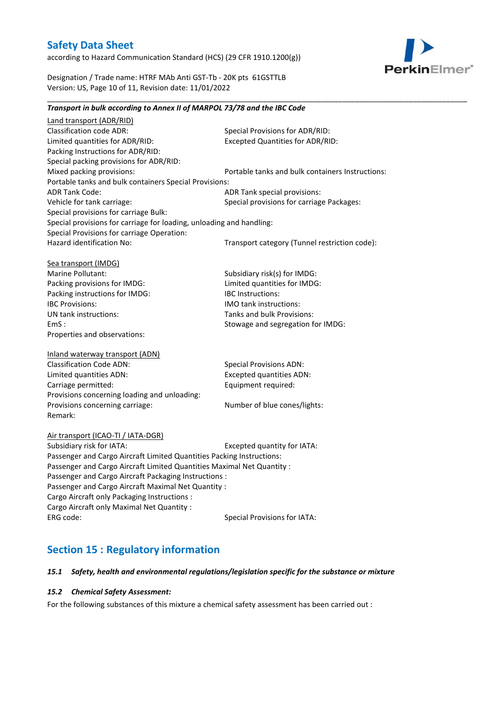according to Hazard Communication Standard (HCS) (29 CFR 1910.1200(g))



Designation / Trade name: HTRF MAb Anti GST-Tb - 20K pts 61GSTTLB Version: US, Page 10 of 11, Revision date: 11/01/2022

### *Transport in bulk according to Annex II of MARPOL 73/78 and the IBC Code* Land transport (ADR/RID) Classification code ADR: Special Provisions for ADR/RID:<br>
Limited quantities for ADR/RID: Excepted Quantities for ADR/RI Excepted Quantities for ADR/RID: Packing Instructions for ADR/RID: Special packing provisions for ADR/RID: Mixed packing provisions: Portable tanks and bulk containers Instructions: Portable tanks and bulk containers Special Provisions: ADR Tank Code: ADR Tank special provisions: Vehicle for tank carriage:  $S$  Special provisions for carriage Packages: Special provisions for carriage Bulk: Special provisions for carriage for loading, unloading and handling: Special Provisions for carriage Operation: Hazard identification No: Transport category (Tunnel restriction code): Sea transport (IMDG) Marine Pollutant: Subsidiary risk(s) for IMDG: Packing provisions for IMDG: Limited quantities for IMDG: Packing instructions for IMDG: IBC Instructions: IBC Provisions: IMO tank instructions: UN tank instructions: Tanks and bulk Provisions: EmS : Stowage and segregation for IMDG: Properties and observations: Inland waterway transport (ADN) Classification Code ADN: Special Provisions ADN: Limited quantities ADN: Excepted quantities ADN: Carriage permitted: Carriage permitted: Provisions concerning loading and unloading: Provisions concerning carriage: Number of blue cones/lights: Remark: Air transport (ICAO-TI / IATA-DGR) Subsidiary risk for IATA: Excepted quantity for IATA: Passenger and Cargo Aircraft Limited Quantities Packing Instructions: Passenger and Cargo Aircraft Limited Quantities Maximal Net Quantity : Passenger and Cargo Aircraft Packaging Instructions : Passenger and Cargo Aircraft Maximal Net Quantity : Cargo Aircraft only Packaging Instructions : Cargo Aircraft only Maximal Net Quantity : ERG code: Special Provisions for IATA: **Section 15 : Regulatory information**

\_\_\_\_\_\_\_\_\_\_\_\_\_\_\_\_\_\_\_\_\_\_\_\_\_\_\_\_\_\_\_\_\_\_\_\_\_\_\_\_\_\_\_\_\_\_\_\_\_\_\_\_\_\_\_\_\_\_\_\_\_\_\_\_\_\_\_\_\_\_\_\_\_\_\_\_\_\_\_\_\_\_\_\_\_\_\_\_\_\_\_\_\_\_\_\_\_\_\_\_\_

#### *15.1 Safety, health and environmental regulations/legislation specific for the substance or mixture*

#### *15.2 Chemical Safety Assessment:*

For the following substances of this mixture a chemical safety assessment has been carried out :